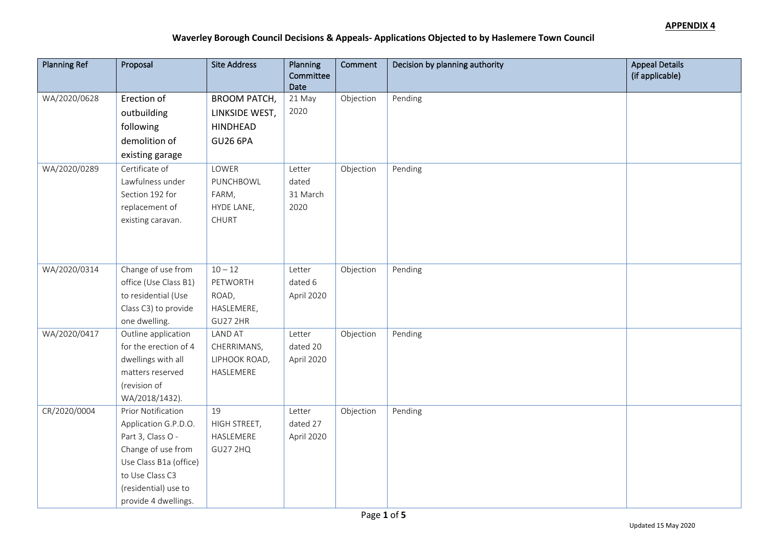| <b>Planning Ref</b> | Proposal                                   | <b>Site Address</b> | Planning<br>Committee | Comment   | Decision by planning authority | <b>Appeal Details</b><br>(if applicable) |
|---------------------|--------------------------------------------|---------------------|-----------------------|-----------|--------------------------------|------------------------------------------|
|                     |                                            |                     | Date                  |           |                                |                                          |
| WA/2020/0628        | Erection of                                | <b>BROOM PATCH,</b> | 21 May                | Objection | Pending                        |                                          |
|                     | outbuilding                                | LINKSIDE WEST,      | 2020                  |           |                                |                                          |
|                     | following                                  | HINDHEAD            |                       |           |                                |                                          |
|                     | demolition of                              | <b>GU26 6PA</b>     |                       |           |                                |                                          |
|                     | existing garage                            |                     |                       |           |                                |                                          |
| WA/2020/0289        | Certificate of                             | LOWER               | Letter                | Objection | Pending                        |                                          |
|                     | Lawfulness under                           | PUNCHBOWL           | dated                 |           |                                |                                          |
|                     | Section 192 for                            | FARM,               | 31 March              |           |                                |                                          |
|                     | replacement of                             | HYDE LANE,          | 2020                  |           |                                |                                          |
|                     | existing caravan.                          | <b>CHURT</b>        |                       |           |                                |                                          |
|                     |                                            |                     |                       |           |                                |                                          |
|                     |                                            |                     |                       |           |                                |                                          |
| WA/2020/0314        | Change of use from                         | $10 - 12$           | Letter                | Objection | Pending                        |                                          |
|                     | office (Use Class B1)                      | PETWORTH            | dated 6               |           |                                |                                          |
|                     | to residential (Use                        | ROAD,               | April 2020            |           |                                |                                          |
|                     | Class C3) to provide                       | HASLEMERE,          |                       |           |                                |                                          |
|                     | one dwelling.                              | <b>GU27 2HR</b>     |                       |           |                                |                                          |
| WA/2020/0417        | Outline application                        | <b>LAND AT</b>      | Letter                | Objection | Pending                        |                                          |
|                     | for the erection of 4                      | CHERRIMANS,         | dated 20              |           |                                |                                          |
|                     | dwellings with all                         | LIPHOOK ROAD,       | April 2020            |           |                                |                                          |
|                     | matters reserved                           | HASLEMERE           |                       |           |                                |                                          |
|                     | (revision of                               |                     |                       |           |                                |                                          |
|                     | WA/2018/1432).                             |                     |                       |           |                                |                                          |
| CR/2020/0004        | Prior Notification<br>Application G.P.D.O. | 19<br>HIGH STREET,  | Letter<br>dated 27    | Objection | Pending                        |                                          |
|                     | Part 3, Class O -                          | HASLEMERE           | April 2020            |           |                                |                                          |
|                     | Change of use from                         | <b>GU27 2HQ</b>     |                       |           |                                |                                          |
|                     | Use Class B1a (office)                     |                     |                       |           |                                |                                          |
|                     | to Use Class C3                            |                     |                       |           |                                |                                          |
|                     | (residential) use to                       |                     |                       |           |                                |                                          |
|                     | provide 4 dwellings.                       |                     |                       |           |                                |                                          |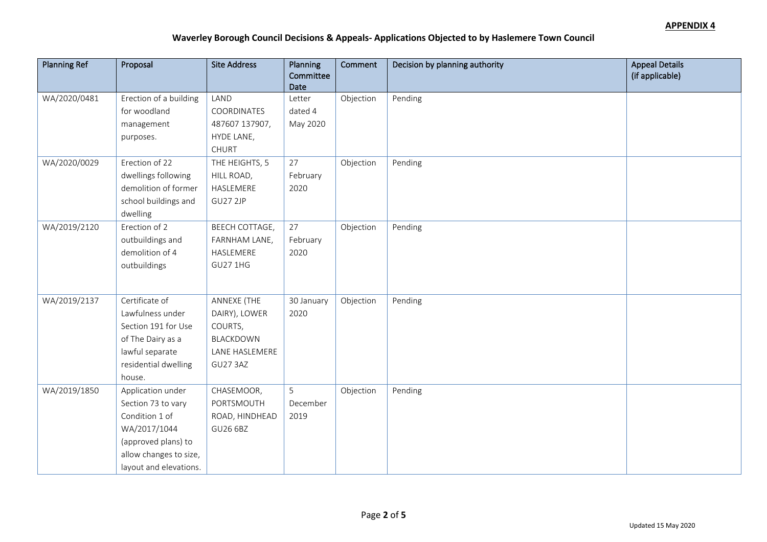| <b>Planning Ref</b> | Proposal               | <b>Site Address</b> | Planning<br>Committee | Comment   | Decision by planning authority | <b>Appeal Details</b><br>(if applicable) |
|---------------------|------------------------|---------------------|-----------------------|-----------|--------------------------------|------------------------------------------|
|                     |                        |                     | Date                  |           |                                |                                          |
| WA/2020/0481        | Erection of a building | LAND                | Letter                | Objection | Pending                        |                                          |
|                     | for woodland           | COORDINATES         | dated 4               |           |                                |                                          |
|                     | management             | 487607 137907,      | May 2020              |           |                                |                                          |
|                     | purposes.              | HYDE LANE,          |                       |           |                                |                                          |
|                     |                        | <b>CHURT</b>        |                       |           |                                |                                          |
| WA/2020/0029        | Erection of 22         | THE HEIGHTS, 5      | 27                    | Objection | Pending                        |                                          |
|                     | dwellings following    | HILL ROAD,          | February              |           |                                |                                          |
|                     | demolition of former   | HASLEMERE           | 2020                  |           |                                |                                          |
|                     | school buildings and   | GU27 2JP            |                       |           |                                |                                          |
|                     | dwelling               |                     |                       |           |                                |                                          |
| WA/2019/2120        | Erection of 2          | BEECH COTTAGE,      | 27                    | Objection | Pending                        |                                          |
|                     | outbuildings and       | FARNHAM LANE,       | February              |           |                                |                                          |
|                     | demolition of 4        | HASLEMERE           | 2020                  |           |                                |                                          |
|                     | outbuildings           | <b>GU27 1HG</b>     |                       |           |                                |                                          |
|                     |                        |                     |                       |           |                                |                                          |
| WA/2019/2137        | Certificate of         | ANNEXE (THE         | 30 January            | Objection | Pending                        |                                          |
|                     | Lawfulness under       | DAIRY), LOWER       | 2020                  |           |                                |                                          |
|                     | Section 191 for Use    | COURTS,             |                       |           |                                |                                          |
|                     | of The Dairy as a      | BLACKDOWN           |                       |           |                                |                                          |
|                     | lawful separate        | LANE HASLEMERE      |                       |           |                                |                                          |
|                     | residential dwelling   | <b>GU27 3AZ</b>     |                       |           |                                |                                          |
|                     | house.                 |                     |                       |           |                                |                                          |
| WA/2019/1850        | Application under      | CHASEMOOR,          | 5                     | Objection | Pending                        |                                          |
|                     | Section 73 to vary     | PORTSMOUTH          | December              |           |                                |                                          |
|                     | Condition 1 of         | ROAD, HINDHEAD      | 2019                  |           |                                |                                          |
|                     | WA/2017/1044           | GU26 6BZ            |                       |           |                                |                                          |
|                     | (approved plans) to    |                     |                       |           |                                |                                          |
|                     | allow changes to size, |                     |                       |           |                                |                                          |
|                     | layout and elevations. |                     |                       |           |                                |                                          |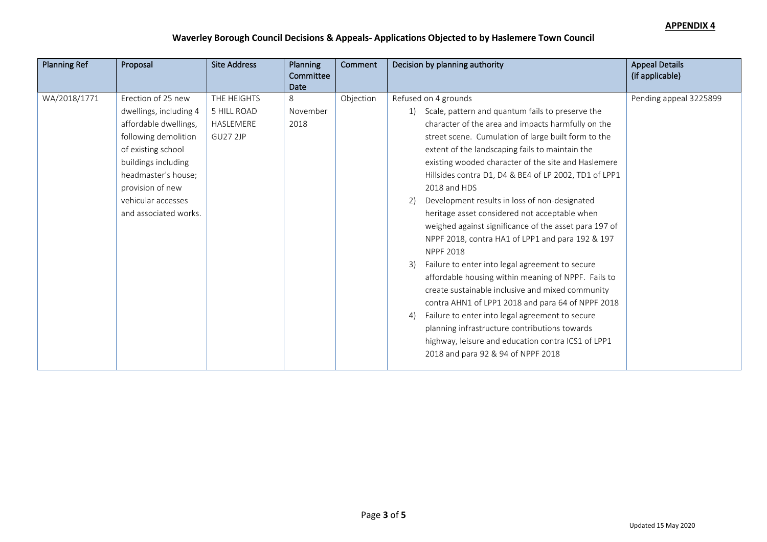| <b>Planning Ref</b> | Proposal                                                                                                                                                                                                                             | <b>Site Address</b>                                        | <b>Planning</b><br>Committee<br>Date | <b>Comment</b> | Decision by planning authority                                                                                                                                                                                                                                                                                                                                                                                                                                                                                                                                                                                                                                                                                                                                                                                                                                                                                                                                                                                                                   | <b>Appeal Details</b><br>(if applicable) |
|---------------------|--------------------------------------------------------------------------------------------------------------------------------------------------------------------------------------------------------------------------------------|------------------------------------------------------------|--------------------------------------|----------------|--------------------------------------------------------------------------------------------------------------------------------------------------------------------------------------------------------------------------------------------------------------------------------------------------------------------------------------------------------------------------------------------------------------------------------------------------------------------------------------------------------------------------------------------------------------------------------------------------------------------------------------------------------------------------------------------------------------------------------------------------------------------------------------------------------------------------------------------------------------------------------------------------------------------------------------------------------------------------------------------------------------------------------------------------|------------------------------------------|
| WA/2018/1771        | Erection of 25 new<br>dwellings, including 4<br>affordable dwellings,<br>following demolition<br>of existing school<br>buildings including<br>headmaster's house;<br>provision of new<br>vehicular accesses<br>and associated works. | THE HEIGHTS<br>5 HILL ROAD<br>HASLEMERE<br><b>GU27 2JP</b> | 8<br>November<br>2018                | Objection      | Refused on 4 grounds<br>Scale, pattern and quantum fails to preserve the<br>character of the area and impacts harmfully on the<br>street scene. Cumulation of large built form to the<br>extent of the landscaping fails to maintain the<br>existing wooded character of the site and Haslemere<br>Hillsides contra D1, D4 & BE4 of LP 2002, TD1 of LPP1<br>2018 and HDS<br>Development results in loss of non-designated<br>2)<br>heritage asset considered not acceptable when<br>weighed against significance of the asset para 197 of<br>NPPF 2018, contra HA1 of LPP1 and para 192 & 197<br><b>NPPF 2018</b><br>Failure to enter into legal agreement to secure<br>3)<br>affordable housing within meaning of NPPF. Fails to<br>create sustainable inclusive and mixed community<br>contra AHN1 of LPP1 2018 and para 64 of NPPF 2018<br>Failure to enter into legal agreement to secure<br>4)<br>planning infrastructure contributions towards<br>highway, leisure and education contra ICS1 of LPP1<br>2018 and para 92 & 94 of NPPF 2018 | Pending appeal 3225899                   |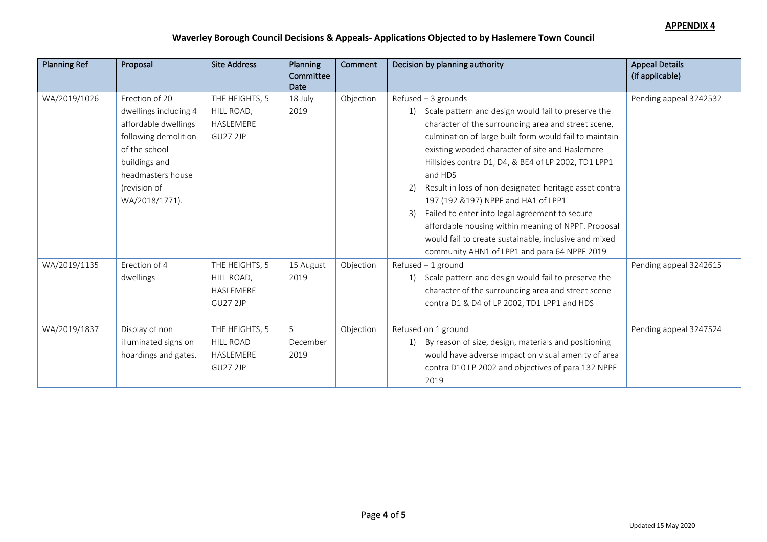| <b>Planning Ref</b> | Proposal                                                                                                                                                                         | <b>Site Address</b>                                                | Planning<br>Committee<br><b>Date</b> | Comment   | Decision by planning authority                                                                                                                                                                                                                                                                                                                                                                                                                                                                                                                                                                                                                        | <b>Appeal Details</b><br>(if applicable) |
|---------------------|----------------------------------------------------------------------------------------------------------------------------------------------------------------------------------|--------------------------------------------------------------------|--------------------------------------|-----------|-------------------------------------------------------------------------------------------------------------------------------------------------------------------------------------------------------------------------------------------------------------------------------------------------------------------------------------------------------------------------------------------------------------------------------------------------------------------------------------------------------------------------------------------------------------------------------------------------------------------------------------------------------|------------------------------------------|
| WA/2019/1026        | Erection of 20<br>dwellings including 4<br>affordable dwellings<br>following demolition<br>of the school<br>buildings and<br>headmasters house<br>(revision of<br>WA/2018/1771). | THE HEIGHTS, 5<br>HILL ROAD,<br>HASLEMERE<br><b>GU27 2JP</b>       | 18 July<br>2019                      | Objection | $Refused - 3$ grounds<br>1) Scale pattern and design would fail to preserve the<br>character of the surrounding area and street scene,<br>culmination of large built form would fail to maintain<br>existing wooded character of site and Haslemere<br>Hillsides contra D1, D4, & BE4 of LP 2002, TD1 LPP1<br>and HDS<br>Result in loss of non-designated heritage asset contra<br>2)<br>197 (192 & 197) NPPF and HA1 of LPP1<br>Failed to enter into legal agreement to secure<br>3)<br>affordable housing within meaning of NPPF. Proposal<br>would fail to create sustainable, inclusive and mixed<br>community AHN1 of LPP1 and para 64 NPPF 2019 | Pending appeal 3242532                   |
| WA/2019/1135        | Erection of 4<br>dwellings                                                                                                                                                       | THE HEIGHTS, 5<br>HILL ROAD,<br>HASLEMERE<br>GU27 2JP              | 15 August<br>2019                    | Objection | $Refused - 1$ ground<br>1) Scale pattern and design would fail to preserve the<br>character of the surrounding area and street scene<br>contra D1 & D4 of LP 2002, TD1 LPP1 and HDS                                                                                                                                                                                                                                                                                                                                                                                                                                                                   | Pending appeal 3242615                   |
| WA/2019/1837        | Display of non<br>illuminated signs on<br>hoardings and gates.                                                                                                                   | THE HEIGHTS, 5<br><b>HILL ROAD</b><br>HASLEMERE<br><b>GU27 2JP</b> | 5<br>December<br>2019                | Objection | Refused on 1 ground<br>By reason of size, design, materials and positioning<br>1)<br>would have adverse impact on visual amenity of area<br>contra D10 LP 2002 and objectives of para 132 NPPF<br>2019                                                                                                                                                                                                                                                                                                                                                                                                                                                | Pending appeal 3247524                   |